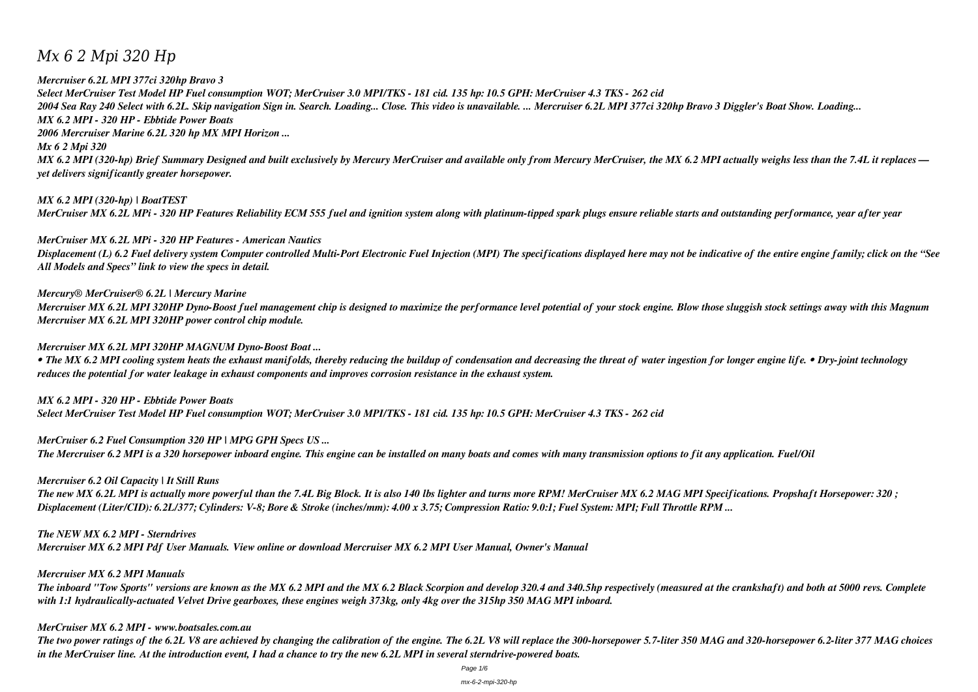## *Mx 6 2 Mpi 320 Hp*

*Mercruiser 6.2L MPI 377ci 320hp Bravo 3 Select MerCruiser Test Model HP Fuel consumption WOT; MerCruiser 3.0 MPI/TKS - 181 cid. 135 hp: 10.5 GPH: MerCruiser 4.3 TKS - 262 cid 2004 Sea Ray 240 Select with 6.2L. Skip navigation Sign in. Search. Loading... Close. This video is unavailable. ... Mercruiser 6.2L MPI 377ci 320hp Bravo 3 Diggler's Boat Show. Loading... MX 6.2 MPI - 320 HP - Ebbtide Power Boats 2006 Mercruiser Marine 6.2L 320 hp MX MPI Horizon ... Mx 6 2 Mpi 320 MX 6.2 MPI (320-hp) Brief Summary Designed and built exclusively by Mercury MerCruiser and available only from Mercury MerCruiser, the MX 6.2 MPI actually weighs less than the 7.4L it replaces yet delivers significantly greater horsepower.*

*MX 6.2 MPI (320-hp) | BoatTEST MerCruiser MX 6.2L MPi - 320 HP Features Reliability ECM 555 fuel and ignition system along with platinum-tipped spark plugs ensure reliable starts and outstanding performance, year after year*

*MerCruiser MX 6.2L MPi - 320 HP Features - American Nautics Displacement (L) 6.2 Fuel delivery system Computer controlled Multi-Port Electronic Fuel Injection (MPI) The specifications displayed here may not be indicative of the entire engine family; click on the "See All Models and Specs" link to view the specs in detail.*

*Mercury® MerCruiser® 6.2L | Mercury Marine Mercruiser MX 6.2L MPI 320HP Dyno-Boost fuel management chip is designed to maximize the performance level potential of your stock engine. Blow those sluggish stock settings away with this Magnum Mercruiser MX 6.2L MPI 320HP power control chip module.*

*Mercruiser MX 6.2L MPI 320HP MAGNUM Dyno-Boost Boat ...*

*• The MX 6.2 MPI cooling system heats the exhaust manifolds, thereby reducing the buildup of condensation and decreasing the threat of water ingestion for longer engine life. • Dry-joint technology reduces the potential for water leakage in exhaust components and improves corrosion resistance in the exhaust system.*

*MX 6.2 MPI - 320 HP - Ebbtide Power Boats Select MerCruiser Test Model HP Fuel consumption WOT; MerCruiser 3.0 MPI/TKS - 181 cid. 135 hp: 10.5 GPH: MerCruiser 4.3 TKS - 262 cid*

*MerCruiser 6.2 Fuel Consumption 320 HP | MPG GPH Specs US ... The Mercruiser 6.2 MPI is a 320 horsepower inboard engine. This engine can be installed on many boats and comes with many transmission options to fit any application. Fuel/Oil*

*Mercruiser 6.2 Oil Capacity | It Still Runs*

*The new MX 6.2L MPI is actually more powerful than the 7.4L Big Block. It is also 140 lbs lighter and turns more RPM! MerCruiser MX 6.2 MAG MPI Specifications. Propshaft Horsepower: 320 ; Displacement (Liter/CID): 6.2L/377; Cylinders: V-8; Bore & Stroke (inches/mm): 4.00 x 3.75; Compression Ratio: 9.0:1; Fuel System: MPI; Full Throttle RPM ...*

*The NEW MX 6.2 MPI - Sterndrives Mercruiser MX 6.2 MPI Pdf User Manuals. View online or download Mercruiser MX 6.2 MPI User Manual, Owner's Manual*

*Mercruiser MX 6.2 MPI Manuals*

*The inboard "Tow Sports" versions are known as the MX 6.2 MPI and the MX 6.2 Black Scorpion and develop 320.4 and 340.5hp respectively (measured at the crankshaft) and both at 5000 revs. Complete with 1:1 hydraulically-actuated Velvet Drive gearboxes, these engines weigh 373kg, only 4kg over the 315hp 350 MAG MPI inboard.*

*MerCruiser MX 6.2 MPI - www.boatsales.com.au*

*The two power ratings of the 6.2L V8 are achieved by changing the calibration of the engine. The 6.2L V8 will replace the 300-horsepower 5.7-liter 350 MAG and 320-horsepower 6.2-liter 377 MAG choices in the MerCruiser line. At the introduction event, I had a chance to try the new 6.2L MPI in several sterndrive-powered boats.*

Page 1/6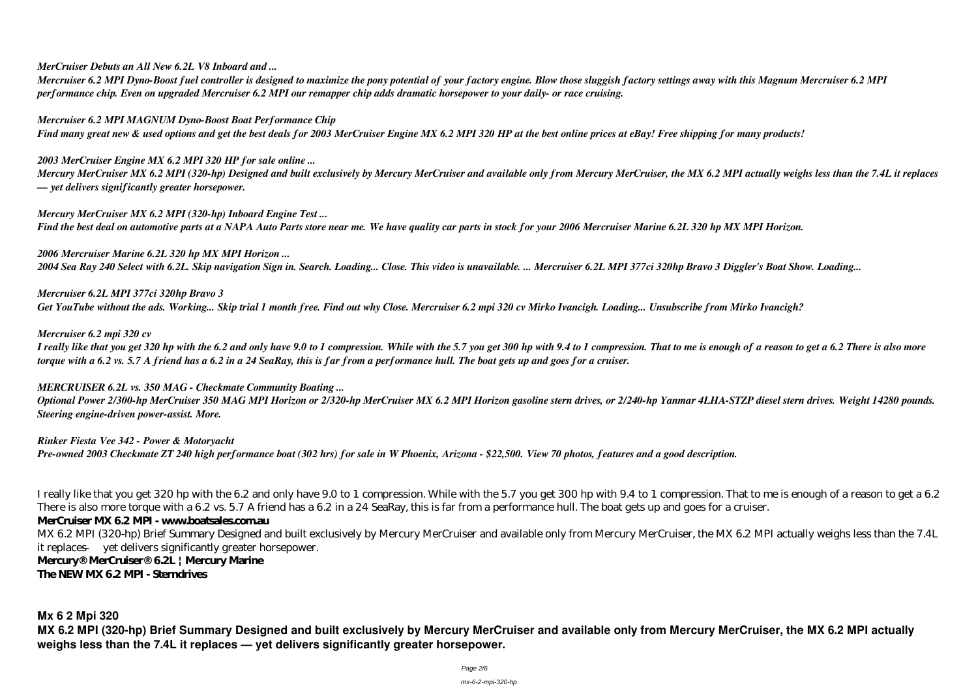*MerCruiser Debuts an All New 6.2L V8 Inboard and ...*

*Mercruiser 6.2 MPI Dyno-Boost fuel controller is designed to maximize the pony potential of your factory engine. Blow those sluggish factory settings away with this Magnum Mercruiser 6.2 MPI performance chip. Even on upgraded Mercruiser 6.2 MPI our remapper chip adds dramatic horsepower to your daily- or race cruising.*

*Mercruiser 6.2 MPI MAGNUM Dyno-Boost Boat Performance Chip*

*Find many great new & used options and get the best deals for 2003 MerCruiser Engine MX 6.2 MPI 320 HP at the best online prices at eBay! Free shipping for many products!*

*2003 MerCruiser Engine MX 6.2 MPI 320 HP for sale online ...*

*Mercury MerCruiser MX 6.2 MPI (320-hp) Designed and built exclusively by Mercury MerCruiser and available only from Mercury MerCruiser, the MX 6.2 MPI actually weighs less than the 7.4L it replaces — yet delivers significantly greater horsepower.*

*Mercury MerCruiser MX 6.2 MPI (320-hp) Inboard Engine Test ... Find the best deal on automotive parts at a NAPA Auto Parts store near me. We have quality car parts in stock for your 2006 Mercruiser Marine 6.2L 320 hp MX MPI Horizon.*

I really like that you get 320 hp with the 6.2 and only have 9.0 to 1 compression. While with the 5.7 you get 300 hp with 9.4 to 1 compression. That to me is enough of a reason to get a 6.2 There is also more torque with a 6.2 vs. 5.7 A friend has a 6.2 in a 24 SeaRay, this is far from a performance hull. The boat gets up and goes for a cruiser.

### MerCruiser MX 6.2 MPI - www.boatsales.com.au

*2006 Mercruiser Marine 6.2L 320 hp MX MPI Horizon ... 2004 Sea Ray 240 Select with 6.2L. Skip navigation Sign in. Search. Loading... Close. This video is unavailable. ... Mercruiser 6.2L MPI 377ci 320hp Bravo 3 Diggler's Boat Show. Loading...*

*Mercruiser 6.2L MPI 377ci 320hp Bravo 3 Get YouTube without the ads. Working... Skip trial 1 month free. Find out why Close. Mercruiser 6.2 mpi 320 cv Mirko Ivancigh. Loading... Unsubscribe from Mirko Ivancigh?*

*Mercruiser 6.2 mpi 320 cv*

*I really like that you get 320 hp with the 6.2 and only have 9.0 to 1 compression. While with the 5.7 you get 300 hp with 9.4 to 1 compression. That to me is enough of a reason to get a 6.2 There is also more torque with a 6.2 vs. 5.7 A friend has a 6.2 in a 24 SeaRay, this is far from a performance hull. The boat gets up and goes for a cruiser.*

*MERCRUISER 6.2L vs. 350 MAG - Checkmate Community Boating ...*

*Optional Power 2/300-hp MerCruiser 350 MAG MPI Horizon or 2/320-hp MerCruiser MX 6.2 MPI Horizon gasoline stern drives, or 2/240-hp Yanmar 4LHA-STZP diesel stern drives. Weight 14280 pounds. Steering engine-driven power-assist. More.*

*Rinker Fiesta Vee 342 - Power & Motoryacht Pre-owned 2003 Checkmate ZT 240 high performance boat (302 hrs) for sale in W Phoenix, Arizona - \$22,500. View 70 photos, features and a good description.*

MX 6.2 MPI (320-hp) Brief Summary Designed and built exclusively by Mercury MerCruiser and available only from Mercury MerCruiser, the MX 6.2 MPI actually weighs less than the 7.4L it replaces — yet delivers significantly greater horsepower.

# **Mercury® MerCruiser® 6.2L | Mercury Marine**

**The NEW MX 6.2 MPI - Sterndrives**

**Mx 6 2 Mpi 320**

**MX 6.2 MPI (320-hp) Brief Summary Designed and built exclusively by Mercury MerCruiser and available only from Mercury MerCruiser, the MX 6.2 MPI actually weighs less than the 7.4L it replaces — yet delivers significantly greater horsepower.**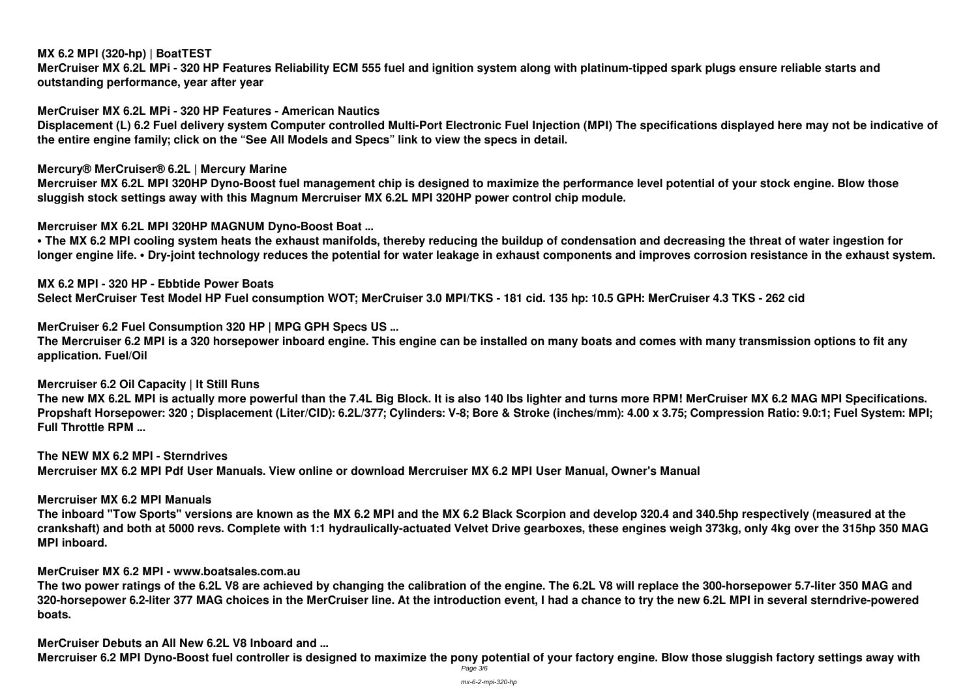### **MX 6.2 MPI (320-hp) | BoatTEST**

**MerCruiser MX 6.2L MPi - 320 HP Features Reliability ECM 555 fuel and ignition system along with platinum-tipped spark plugs ensure reliable starts and outstanding performance, year after year**

**MerCruiser MX 6.2L MPi - 320 HP Features - American Nautics**

**Displacement (L) 6.2 Fuel delivery system Computer controlled Multi-Port Electronic Fuel Injection (MPI) The specifications displayed here may not be indicative of the entire engine family; click on the "See All Models and Specs" link to view the specs in detail.**

**Mercury® MerCruiser® 6.2L | Mercury Marine**

**Mercruiser MX 6.2L MPI 320HP Dyno-Boost fuel management chip is designed to maximize the performance level potential of your stock engine. Blow those sluggish stock settings away with this Magnum Mercruiser MX 6.2L MPI 320HP power control chip module.**

**Mercruiser MX 6.2L MPI 320HP MAGNUM Dyno-Boost Boat ...**

**• The MX 6.2 MPI cooling system heats the exhaust manifolds, thereby reducing the buildup of condensation and decreasing the threat of water ingestion for longer engine life. • Dry-joint technology reduces the potential for water leakage in exhaust components and improves corrosion resistance in the exhaust system.**

**MX 6.2 MPI - 320 HP - Ebbtide Power Boats Select MerCruiser Test Model HP Fuel consumption WOT; MerCruiser 3.0 MPI/TKS - 181 cid. 135 hp: 10.5 GPH: MerCruiser 4.3 TKS - 262 cid**

**MerCruiser 6.2 Fuel Consumption 320 HP | MPG GPH Specs US ...**

**The Mercruiser 6.2 MPI is a 320 horsepower inboard engine. This engine can be installed on many boats and comes with many transmission options to fit any application. Fuel/Oil**

**Mercruiser 6.2 Oil Capacity | It Still Runs**

**The new MX 6.2L MPI is actually more powerful than the 7.4L Big Block. It is also 140 lbs lighter and turns more RPM! MerCruiser MX 6.2 MAG MPI Specifications. Propshaft Horsepower: 320 ; Displacement (Liter/CID): 6.2L/377; Cylinders: V-8; Bore & Stroke (inches/mm): 4.00 x 3.75; Compression Ratio: 9.0:1; Fuel System: MPI; Full Throttle RPM ...**

**The NEW MX 6.2 MPI - Sterndrives Mercruiser MX 6.2 MPI Pdf User Manuals. View online or download Mercruiser MX 6.2 MPI User Manual, Owner's Manual**

**Mercruiser MX 6.2 MPI Manuals**

**The inboard "Tow Sports" versions are known as the MX 6.2 MPI and the MX 6.2 Black Scorpion and develop 320.4 and 340.5hp respectively (measured at the crankshaft) and both at 5000 revs. Complete with 1:1 hydraulically-actuated Velvet Drive gearboxes, these engines weigh 373kg, only 4kg over the 315hp 350 MAG MPI inboard.**

**MerCruiser MX 6.2 MPI - www.boatsales.com.au**

**The two power ratings of the 6.2L V8 are achieved by changing the calibration of the engine. The 6.2L V8 will replace the 300-horsepower 5.7-liter 350 MAG and 320-horsepower 6.2-liter 377 MAG choices in the MerCruiser line. At the introduction event, I had a chance to try the new 6.2L MPI in several sterndrive-powered boats.**

**MerCruiser Debuts an All New 6.2L V8 Inboard and ...**

**Mercruiser 6.2 MPI Dyno-Boost fuel controller is designed to maximize the pony potential of your factory engine. Blow those sluggish factory settings away with** Page 3/6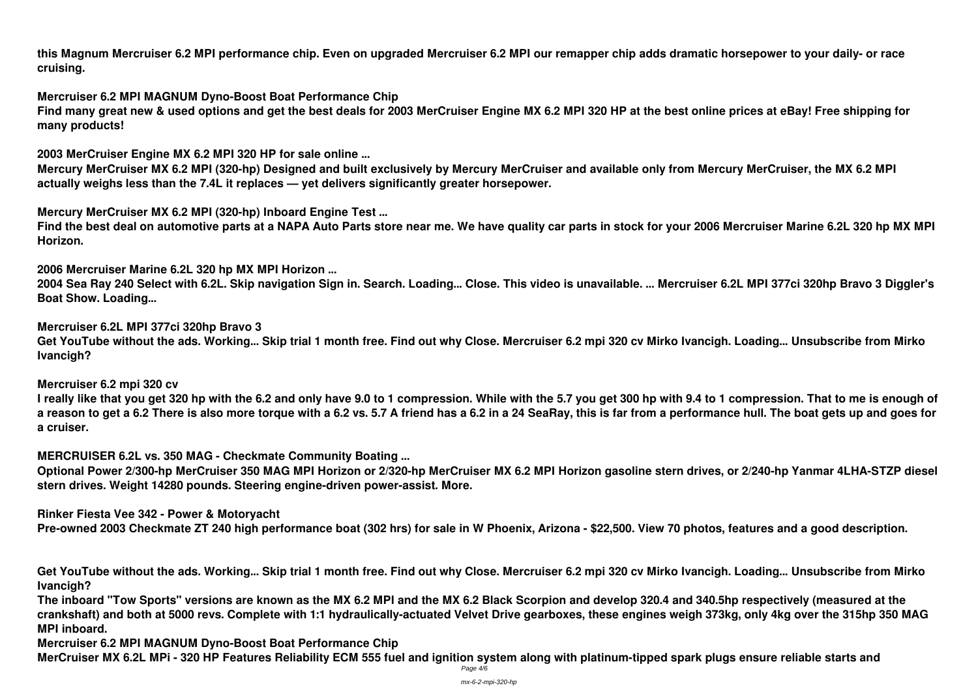**this Magnum Mercruiser 6.2 MPI performance chip. Even on upgraded Mercruiser 6.2 MPI our remapper chip adds dramatic horsepower to your daily- or race cruising.**

**Mercruiser 6.2 MPI MAGNUM Dyno-Boost Boat Performance Chip Find many great new & used options and get the best deals for 2003 MerCruiser Engine MX 6.2 MPI 320 HP at the best online prices at eBay! Free shipping for many products!**

**2003 MerCruiser Engine MX 6.2 MPI 320 HP for sale online ...**

**Mercury MerCruiser MX 6.2 MPI (320-hp) Designed and built exclusively by Mercury MerCruiser and available only from Mercury MerCruiser, the MX 6.2 MPI actually weighs less than the 7.4L it replaces — yet delivers significantly greater horsepower.**

**Mercury MerCruiser MX 6.2 MPI (320-hp) Inboard Engine Test ...**

**Find the best deal on automotive parts at a NAPA Auto Parts store near me. We have quality car parts in stock for your 2006 Mercruiser Marine 6.2L 320 hp MX MPI Horizon.**

**2006 Mercruiser Marine 6.2L 320 hp MX MPI Horizon ...**

**2004 Sea Ray 240 Select with 6.2L. Skip navigation Sign in. Search. Loading... Close. This video is unavailable. ... Mercruiser 6.2L MPI 377ci 320hp Bravo 3 Diggler's Boat Show. Loading...**

**Mercruiser 6.2L MPI 377ci 320hp Bravo 3**

**Get YouTube without the ads. Working... Skip trial 1 month free. Find out why Close. Mercruiser 6.2 mpi 320 cv Mirko Ivancigh. Loading... Unsubscribe from Mirko Ivancigh?**

**Mercruiser 6.2 mpi 320 cv**

**I really like that you get 320 hp with the 6.2 and only have 9.0 to 1 compression. While with the 5.7 you get 300 hp with 9.4 to 1 compression. That to me is enough of a reason to get a 6.2 There is also more torque with a 6.2 vs. 5.7 A friend has a 6.2 in a 24 SeaRay, this is far from a performance hull. The boat gets up and goes for a cruiser.**

**MERCRUISER 6.2L vs. 350 MAG - Checkmate Community Boating ...**

**Optional Power 2/300-hp MerCruiser 350 MAG MPI Horizon or 2/320-hp MerCruiser MX 6.2 MPI Horizon gasoline stern drives, or 2/240-hp Yanmar 4LHA-STZP diesel stern drives. Weight 14280 pounds. Steering engine-driven power-assist. More.**

**Rinker Fiesta Vee 342 - Power & Motoryacht Pre-owned 2003 Checkmate ZT 240 high performance boat (302 hrs) for sale in W Phoenix, Arizona - \$22,500. View 70 photos, features and a good description.**

**Get YouTube without the ads. Working... Skip trial 1 month free. Find out why Close. Mercruiser 6.2 mpi 320 cv Mirko Ivancigh. Loading... Unsubscribe from Mirko Ivancigh?**

**The inboard "Tow Sports" versions are known as the MX 6.2 MPI and the MX 6.2 Black Scorpion and develop 320.4 and 340.5hp respectively (measured at the crankshaft) and both at 5000 revs. Complete with 1:1 hydraulically-actuated Velvet Drive gearboxes, these engines weigh 373kg, only 4kg over the 315hp 350 MAG MPI inboard.**

**Mercruiser 6.2 MPI MAGNUM Dyno-Boost Boat Performance Chip**

**MerCruiser MX 6.2L MPi - 320 HP Features Reliability ECM 555 fuel and ignition system along with platinum-tipped spark plugs ensure reliable starts and**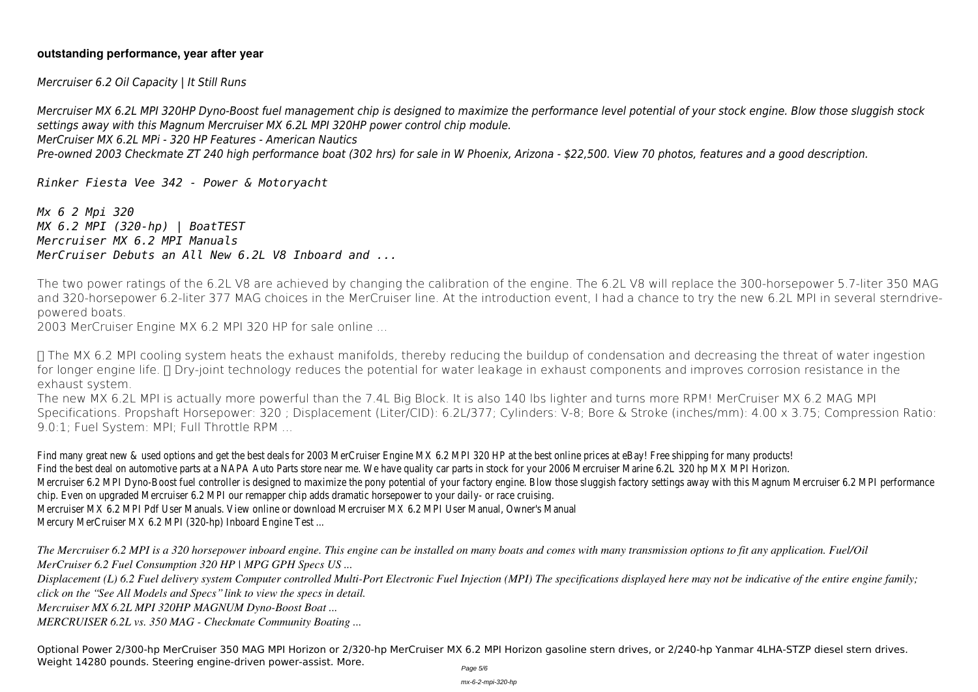### **outstanding performance, year after year**

*Mercruiser 6.2 Oil Capacity | It Still Runs*

*Mercruiser MX 6.2L MPI 320HP Dyno-Boost fuel management chip is designed to maximize the performance level potential of your stock engine. Blow those sluggish stock settings away with this Magnum Mercruiser MX 6.2L MPI 320HP power control chip module. MerCruiser MX 6.2L MPi - 320 HP Features - American Nautics Pre-owned 2003 Checkmate ZT 240 high performance boat (302 hrs) for sale in W Phoenix, Arizona - \$22,500. View 70 photos, features and a good description.*

*Rinker Fiesta Vee 342 - Power & Motoryacht*

*Mx 6 2 Mpi 320 MX 6.2 MPI (320-hp) | BoatTEST Mercruiser MX 6.2 MPI Manuals MerCruiser Debuts an All New 6.2L V8 Inboard and ...*

The two power ratings of the 6.2L V8 are achieved by changing the calibration of the engine. The 6.2L V8 will replace the 300-horsepower 5.7-liter 350 MAG and 320-horsepower 6.2-liter 377 MAG choices in the MerCruiser line. At the introduction event, I had a chance to try the new 6.2L MPI in several sterndrivepowered boats.

**2003 MerCruiser Engine MX 6.2 MPI 320 HP for sale online ...**

• The MX 6.2 MPI cooling system heats the exhaust manifolds, thereby reducing the buildup of condensation and decreasing the threat of water ingestion for longer engine life.  $\Box$  Dry-joint technology reduces the potential for water leakage in exhaust components and improves corrosion resistance in the exhaust system.

The new MX 6.2L MPI is actually more powerful than the 7.4L Big Block. It is also 140 lbs lighter and turns more RPM! MerCruiser MX 6.2 MAG MPI Specifications. Propshaft Horsepower: 320 ; Displacement (Liter/CID): 6.2L/377; Cylinders: V-8; Bore & Stroke (inches/mm): 4.00 x 3.75; Compression Ratio: 9.0:1; Fuel System: MPI; Full Throttle RPM ...

Find many great new & used options and get the best deals for 2003 MerCruiser Engine MX 6.2 MPI 320 HP at the best online prices at eBay! Free shipping for many products! Find the best deal on automotive parts at a NAPA Auto Parts store near me. We have quality car parts in stock for your 2006 Mercruiser Marine 6.2L 320 hp MX MPI Horizon. Mercruiser 6.2 MPI Dyno-Boost fuel controller is designed to maximize the pony potential of your factory engine. Blow those sluggish factory settings away with this Magnum Mercruiser chip. Even on upgraded Mercruiser 6.2 MPI our remapper chip adds dramatic horsepower to your daily- or race cruising. Mercruiser MX 6.2 MPI Pdf User Manuals. View online or download Mercruiser MX 6.2 MPI User Manual, Owner's Manual Mercury MerCruiser MX 6.2 MPI (320-hp) Inboard Engine Test ...

*The Mercruiser 6.2 MPI is a 320 horsepower inboard engine. This engine can be installed on many boats and comes with many transmission options to fit any application. Fuel/Oil MerCruiser 6.2 Fuel Consumption 320 HP | MPG GPH Specs US ...*

*Displacement (L) 6.2 Fuel delivery system Computer controlled Multi-Port Electronic Fuel Injection (MPI) The specifications displayed here may not be indicative of the entire engine family; click on the "See All Models and Specs" link to view the specs in detail.*

*Mercruiser MX 6.2L MPI 320HP MAGNUM Dyno-Boost Boat ...*

*MERCRUISER 6.2L vs. 350 MAG - Checkmate Community Boating ...*

Optional Power 2/300-hp MerCruiser 350 MAG MPI Horizon or 2/320-hp MerCruiser MX 6.2 MPI Horizon gasoline stern drives, or 2/240-hp Yanmar 4LHA-STZP diesel stern drives. Weight 14280 pounds. Steering engine-driven power-assist. More.